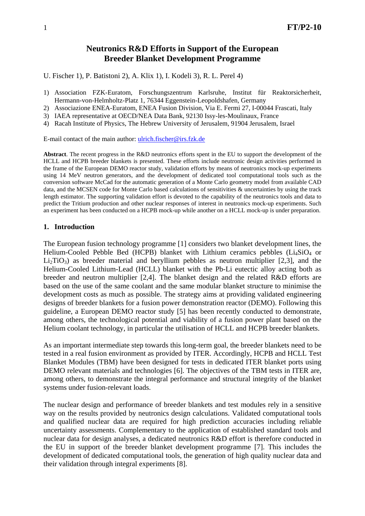# **Neutronics R&D Efforts in Support of the European Breeder Blanket Development Programme**

U. Fischer 1), P. Batistoni 2), A. Klix 1), I. Kodeli 3), R. L. Perel 4)

- 1) Association FZK-Euratom, Forschungszentrum Karlsruhe, Institut für Reaktorsicherheit, Hermann-von-Helmholtz-Platz 1, 76344 Eggenstein-Leopoldshafen, Germany
- 2) Associazione ENEA-Euratom, ENEA Fusion Division, Via E. Fermi 27, I-00044 Frascati, Italy
- 3) IAEA representative at OECD/NEA Data Bank, 92130 Issy-les-Moulinaux, France
- 4) Racah Institute of Physics, The Hebrew University of Jerusalem, 91904 Jerusalem, Israel

E-mail contact of the main author: [ulrich.fischer@irs.fzk.de](mailto:ulrich.fischer@irs.fzk.de)

**Abstract**. The recent progress in the R&D neutronics efforts spent in the EU to support the development of the HCLL and HCPB breeder blankets is presented. These efforts include neutronic design activities performed in the frame of the European DEMO reactor study, validation efforts by means of neutronics mock-up experiments using 14 MeV neutron generators, and the development of dedicated tool computational tools such as the conversion software McCad for the automatic generation of a Monte Carlo geometry model from available CAD data, and the MCSEN code for Monte Carlo based calculations of sensitivities & uncertainties by using the track length estimator. The supporting validation effort is devoted to the capability of the neutronics tools and data to predict the Tritium production and other nuclear responses of interest in neutronics mock-up experiments. Such an experiment has been conducted on a HCPB mock-up while another on a HCLL mock-up is under preparation.

### **1. Introduction**

The European fusion technology programme [1] considers two blanket development lines, the Helium-Cooled Pebble Bed (HCPB) blanket with Lithium ceramics pebbles (Li<sub>4</sub>SiO<sub>4</sub> or  $Li<sub>2</sub>TiO<sub>3</sub>$ ) as breeder material and beryllium pebbles as neutron multiplier [2,3], and the Helium-Cooled Lithium-Lead (HCLL) blanket with the Pb-Li eutectic alloy acting both as breeder and neutron multiplier [2,4]. The blanket design and the related R&D efforts are based on the use of the same coolant and the same modular blanket structure to minimise the development costs as much as possible. The strategy aims at providing validated engineering designs of breeder blankets for a fusion power demonstration reactor (DEMO). Following this guideline, a European DEMO reactor study [5] has been recently conducted to demonstrate, among others, the technological potential and viability of a fusion power plant based on the Helium coolant technology, in particular the utilisation of HCLL and HCPB breeder blankets.

As an important intermediate step towards this long-term goal, the breeder blankets need to be tested in a real fusion environment as provided by ITER. Accordingly, HCPB and HCLL Test Blanket Modules (TBM) have been designed for tests in dedicated ITER blanket ports using DEMO relevant materials and technologies [6]. The objectives of the TBM tests in ITER are, among others, to demonstrate the integral performance and structural integrity of the blanket systems under fusion-relevant loads.

The nuclear design and performance of breeder blankets and test modules rely in a sensitive way on the results provided by neutronics design calculations. Validated computational tools and qualified nuclear data are required for high prediction accuracies including reliable uncertainty assessments. Complementary to the application of established standard tools and nuclear data for design analyses, a dedicated neutronics R&D effort is therefore conducted in the EU in support of the breeder blanket development programme [7]. This includes the development of dedicated computational tools, the generation of high quality nuclear data and their validation through integral experiments [8].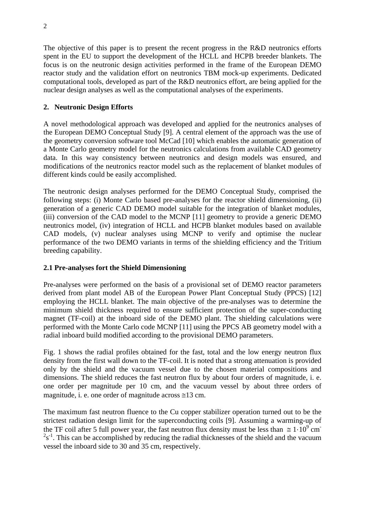The objective of this paper is to present the recent progress in the R&D neutronics efforts spent in the EU to support the development of the HCLL and HCPB breeder blankets. The focus is on the neutronic design activities performed in the frame of the European DEMO reactor study and the validation effort on neutronics TBM mock-up experiments. Dedicated computational tools, developed as part of the R&D neutronics effort, are being applied for the nuclear design analyses as well as the computational analyses of the experiments.

## **2. Neutronic Design Efforts**

A novel methodological approach was developed and applied for the neutronics analyses of the European DEMO Conceptual Study [9]. A central element of the approach was the use of the geometry conversion software tool McCad [10] which enables the automatic generation of a Monte Carlo geometry model for the neutronics calculations from available CAD geometry data. In this way consistency between neutronics and design models was ensured, and modifications of the neutronics reactor model such as the replacement of blanket modules of different kinds could be easily accomplished.

The neutronic design analyses performed for the DEMO Conceptual Study, comprised the following steps: (i) Monte Carlo based pre-analyses for the reactor shield dimensioning, (ii) generation of a generic CAD DEMO model suitable for the integration of blanket modules, (iii) conversion of the CAD model to the MCNP [11] geometry to provide a generic DEMO neutronics model, (iv) integration of HCLL and HCPB blanket modules based on available CAD models, (v) nuclear analyses using MCNP to verify and optimise the nuclear performance of the two DEMO variants in terms of the shielding efficiency and the Tritium breeding capability.

## **2.1 Pre-analyses fort the Shield Dimensioning**

Pre-analyses were performed on the basis of a provisional set of DEMO reactor parameters derived from plant model AB of the European Power Plant Conceptual Study (PPCS) [12] employing the HCLL blanket. The main objective of the pre-analyses was to determine the minimum shield thickness required to ensure sufficient protection of the super-conducting magnet (TF-coil) at the inboard side of the DEMO plant. The shielding calculations were performed with the Monte Carlo code MCNP [11] using the PPCS AB geometry model with a radial inboard build modified according to the provisional DEMO parameters.

Fig. 1 shows the radial profiles obtained for the fast, total and the low energy neutron flux density from the first wall down to the TF-coil. It is noted that a strong attenuation is provided only by the shield and the vacuum vessel due to the chosen material compositions and dimensions. The shield reduces the fast neutron flux by about four orders of magnitude, i. e. one order per magnitude per 10 cm, and the vacuum vessel by about three orders of magnitude, i. e. one order of magnitude across  $\approx 13$  cm.

The maximum fast neutron fluence to the Cu copper stabilizer operation turned out to be the strictest radiation design limit for the superconducting coils [9]. Assuming a warming-up of the TF coil after 5 full power year, the fast neutron flux density must be less than  $\approx 1 \cdot 10^9$  cm  $2s^{-1}$ . This can be accomplished by reducing the radial thicknesses of the shield and the vacuum vessel the inboard side to 30 and 35 cm, respectively.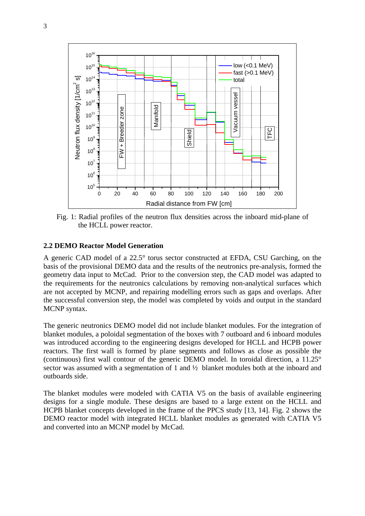

Fig. 1: Radial profiles of the neutron flux densities across the inboard mid-plane of the HCLL power reactor.

### **2.2 DEMO Reactor Model Generation**

A generic CAD model of a 22.5° torus sector constructed at EFDA, CSU Garching, on the basis of the provisional DEMO data and the results of the neutronics pre-analysis, formed the geometry data input to McCad. Prior to the conversion step, the CAD model was adapted to the requirements for the neutronics calculations by removing non-analytical surfaces which are not accepted by MCNP, and repairing modelling errors such as gaps and overlaps. After the successful conversion step, the model was completed by voids and output in the standard MCNP syntax.

The generic neutronics DEMO model did not include blanket modules. For the integration of blanket modules, a poloidal segmentation of the boxes with 7 outboard and 6 inboard modules was introduced according to the engineering designs developed for HCLL and HCPB power reactors. The first wall is formed by plane segments and follows as close as possible the (continuous) first wall contour of the generic DEMO model. In toroidal direction, a 11.25° sector was assumed with a segmentation of 1 and  $\frac{1}{2}$  blanket modules both at the inboard and outboards side.

The blanket modules were modeled with CATIA V5 on the basis of available engineering designs for a single module. These designs are based to a large extent on the HCLL and HCPB blanket concepts developed in the frame of the PPCS study [13, 14]. Fig. 2 shows the DEMO reactor model with integrated HCLL blanket modules as generated with CATIA V5 and converted into an MCNP model by McCad.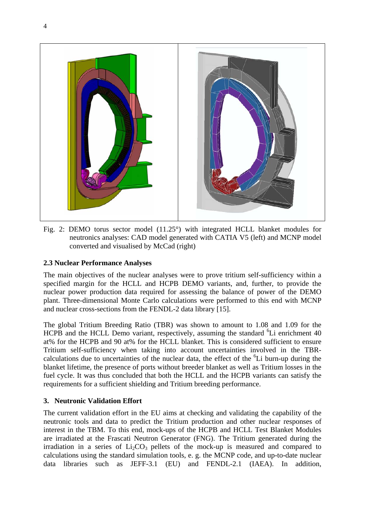

Fig. 2: DEMO torus sector model (11.25°) with integrated HCLL blanket modules for neutronics analyses: CAD model generated with CATIA V5 (left) and MCNP model converted and visualised by McCad (right)

## **2.3 Nuclear Performance Analyses**

The main objectives of the nuclear analyses were to prove tritium self-sufficiency within a specified margin for the HCLL and HCPB DEMO variants, and, further, to provide the nuclear power production data required for assessing the balance of power of the DEMO plant. Three-dimensional Monte Carlo calculations were performed to this end with MCNP and nuclear cross-sections from the FENDL-2 data library [15].

The global Tritium Breeding Ratio (TBR) was shown to amount to 1.08 and 1.09 for the HCPB and the HCLL Demo variant, respectively, assuming the standard <sup>6</sup>Li enrichment 40 at% for the HCPB and 90 at% for the HCLL blanket. This is considered sufficient to ensure Tritium self-sufficiency when taking into account uncertainties involved in the TBRcalculations due to uncertainties of the nuclear data, the effect of the <sup>6</sup>Li burn-up during the blanket lifetime, the presence of ports without breeder blanket as well as Tritium losses in the fuel cycle. It was thus concluded that both the HCLL and the HCPB variants can satisfy the requirements for a sufficient shielding and Tritium breeding performance.

## **3. Neutronic Validation Effort**

The current validation effort in the EU aims at checking and validating the capability of the neutronic tools and data to predict the Tritium production and other nuclear responses of interest in the TBM. To this end, mock-ups of the HCPB and HCLL Test Blanket Modules are irradiated at the Frascati Neutron Generator (FNG). The Tritium generated during the irradiation in a series of  $Li<sub>2</sub>CO<sub>3</sub>$  pellets of the mock-up is measured and compared to calculations using the standard simulation tools, e. g. the MCNP code, and up-to-date nuclear data libraries such as JEFF-3.1 (EU) and FENDL-2.1 (IAEA). In addition,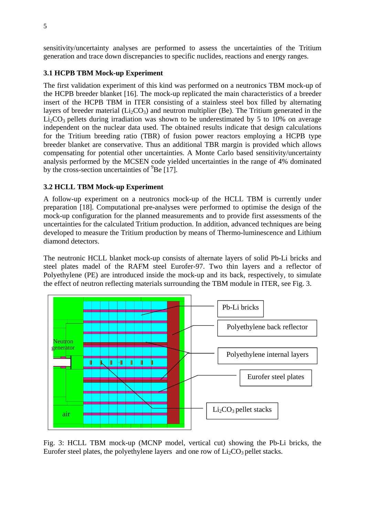sensitivity/uncertainty analyses are performed to assess the uncertainties of the Tritium generation and trace down discrepancies to specific nuclides, reactions and energy ranges.

# **3.1 HCPB TBM Mock-up Experiment**

The first validation experiment of this kind was performed on a neutronics TBM mock-up of the HCPB breeder blanket [16]. The mock-up replicated the main characteristics of a breeder insert of the HCPB TBM in ITER consisting of a stainless steel box filled by alternating layers of breeder material ( $Li_2CO_3$ ) and neutron multiplier (Be). The Tritium generated in the  $Li<sub>2</sub>CO<sub>3</sub>$  pellets during irradiation was shown to be underestimated by 5 to 10% on average independent on the nuclear data used. The obtained results indicate that design calculations for the Tritium breeding ratio (TBR) of fusion power reactors employing a HCPB type breeder blanket are conservative. Thus an additional TBR margin is provided which allows compensating for potential other uncertainties. A Monte Carlo based sensitivity/uncertainty analysis performed by the MCSEN code yielded uncertainties in the range of 4% dominated by the cross-section uncertainties of  ${}^{9}$ Be [17].

# **3.2 HCLL TBM Mock-up Experiment**

A follow-up experiment on a neutronics mock-up of the HCLL TBM is currently under preparation [18]. Computational pre-analyses were performed to optimise the design of the mock-up configuration for the planned measurements and to provide first assessments of the uncertainties for the calculated Tritium production. In addition, advanced techniques are being developed to measure the Tritium production by means of Thermo-luminescence and Lithium diamond detectors.

The neutronic HCLL blanket mock-up consists of alternate layers of solid Pb-Li bricks and steel plates madel of the RAFM steel Eurofer-97. Two thin layers and a reflector of Polyethylene (PE) are introduced inside the mock-up and its back, respectively, to simulate the effect of neutron reflecting materials surrounding the TBM module in ITER, see Fig. 3.



Fig. 3: HCLL TBM mock-up (MCNP model, vertical cut) showing the Pb-Li bricks, the Eurofer steel plates, the polyethylene layers and one row of  $Li<sub>2</sub>CO<sub>3</sub>$  pellet stacks.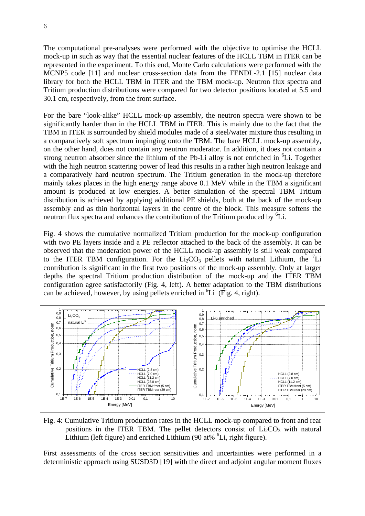The computational pre-analyses were performed with the objective to optimise the HCLL mock-up in such as way that the essential nuclear features of the HCLL TBM in ITER can be represented in the experiment. To this end, Monte Carlo calculations were performed with the MCNP5 code [11] and nuclear cross-section data from the FENDL-2.1 [15] nuclear data library for both the HCLL TBM in ITER and the TBM mock-up. Neutron flux spectra and Tritium production distributions were compared for two detector positions located at 5.5 and 30.1 cm, respectively, from the front surface.

For the bare "look-alike" HCLL mock-up assembly, the neutron spectra were shown to be significantly harder than in the HCLL TBM in ITER. This is mainly due to the fact that the TBM in ITER is surrounded by shield modules made of a steel/water mixture thus resulting in a comparatively soft spectrum impinging onto the TBM. The bare HCLL mock-up assembly, on the other hand, does not contain any neutron moderator. In addition, it does not contain a strong neutron absorber since the lithium of the Pb-Li alloy is not enriched in  ${}^{6}Li$ . Together with the high neutron scattering power of lead this results in a rather high neutron leakage and a comparatively hard neutron spectrum. The Tritium generation in the mock-up therefore mainly takes places in the high energy range above 0.1 MeV while in the TBM a significant amount is produced at low energies. A better simulation of the spectral TBM Tritium distribution is achieved by applying additional PE shields, both at the back of the mock-up assembly and as thin horizontal layers in the centre of the block. This measure softens the neutron flux spectra and enhances the contribution of the Tritium produced by <sup>6</sup>Li.

Fig. 4 shows the cumulative normalized Tritium production for the mock-up configuration with two PE layers inside and a PE reflector attached to the back of the assembly. It can be observed that the moderation power of the HCLL mock-up assembly is still weak compared to the ITER TBM configuration. For the  $Li<sub>2</sub>CO<sub>3</sub>$  pellets with natural Lithium, the <sup>7</sup>Li contribution is significant in the first two positions of the mock-up assembly. Only at larger depths the spectral Tritium production distribution of the mock-up and the ITER TBM configuration agree satisfactorily (Fig. 4, left). A better adaptation to the TBM distributions can be achieved, however, by using pellets enriched in  ${}^{6}Li$  (Fig. 4, right).



Fig. 4: Cumulative Tritium production rates in the HCLL mock-up compared to front and rear positions in the ITER TBM. The pellet detectors consist of  $Li<sub>2</sub>CO<sub>3</sub>$  with natural Lithium (left figure) and enriched Lithium (90 at%  ${}^{6}$ Li, right figure).

First assessments of the cross section sensitivities and uncertainties were performed in a deterministic approach using SUSD3D [19] with the direct and adjoint angular moment fluxes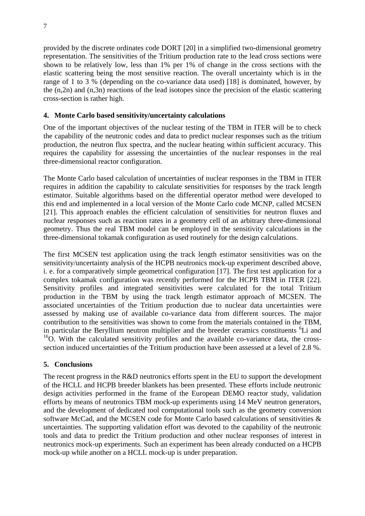provided by the discrete ordinates code DORT [20] in a simplified two-dimensional geometry representation. The sensitivities of the Tritium production rate to the lead cross sections were shown to be relatively low, less than 1% per 1% of change in the cross sections with the elastic scattering being the most sensitive reaction. The overall uncertainty which is in the range of 1 to 3 % (depending on the co-variance data used) [18] is dominated, however, by the (n,2n) and (n,3n) reactions of the lead isotopes since the precision of the elastic scattering cross-section is rather high.

## **4. Monte Carlo based sensitivity/uncertainty calculations**

One of the important objectives of the nuclear testing of the TBM in ITER will be to check the capability of the neutronic codes and data to predict nuclear responses such as the tritium production, the neutron flux spectra, and the nuclear heating within sufficient accuracy. This requires the capability for assessing the uncertainties of the nuclear responses in the real three-dimensional reactor configuration.

The Monte Carlo based calculation of uncertainties of nuclear responses in the TBM in ITER requires in addition the capability to calculate sensitivities for responses by the track length estimator. Suitable algorithms based on the differential operator method were developed to this end and implemented in a local version of the Monte Carlo code MCNP, called MCSEN [21]. This approach enables the efficient calculation of sensitivities for neutron fluxes and nuclear responses such as reaction rates in a geometry cell of an arbitrary three-dimensional geometry. Thus the real TBM model can be employed in the sensitivity calculations in the three-dimensional tokamak configuration as used routinely for the design calculations.

The first MCSEN test application using the track length estimator sensitivities was on the sensitivity/uncertainty analysis of the HCPB neutronics mock-up experiment described above, i. e. for a comparatively simple geometrical configuration [17]. The first test application for a complex tokamak configuration was recently performed for the HCPB TBM in ITER [22]. Sensitivity profiles and integrated sensitivities were calculated for the total Tritium production in the TBM by using the track length estimator approach of MCSEN. The associated uncertainties of the Tritium production due to nuclear data uncertainties were assessed by making use of available co-variance data from different sources. The major contribution to the sensitivities was shown to come from the materials contained in the TBM, in particular the Beryllium neutron multiplier and the breeder ceramics constituents <sup>6</sup>Li and  $^{16}$ O. With the calculated sensitivity profiles and the available co-variance data, the crosssection induced uncertainties of the Tritium production have been assessed at a level of 2.8 %.

## **5. Conclusions**

The recent progress in the R&D neutronics efforts spent in the EU to support the development of the HCLL and HCPB breeder blankets has been presented. These efforts include neutronic design activities performed in the frame of the European DEMO reactor study, validation efforts by means of neutronics TBM mock-up experiments using 14 MeV neutron generators, and the development of dedicated tool computational tools such as the geometry conversion software McCad, and the MCSEN code for Monte Carlo based calculations of sensitivities & uncertainties. The supporting validation effort was devoted to the capability of the neutronic tools and data to predict the Tritium production and other nuclear responses of interest in neutronics mock-up experiments. Such an experiment has been already conducted on a HCPB mock-up while another on a HCLL mock-up is under preparation.